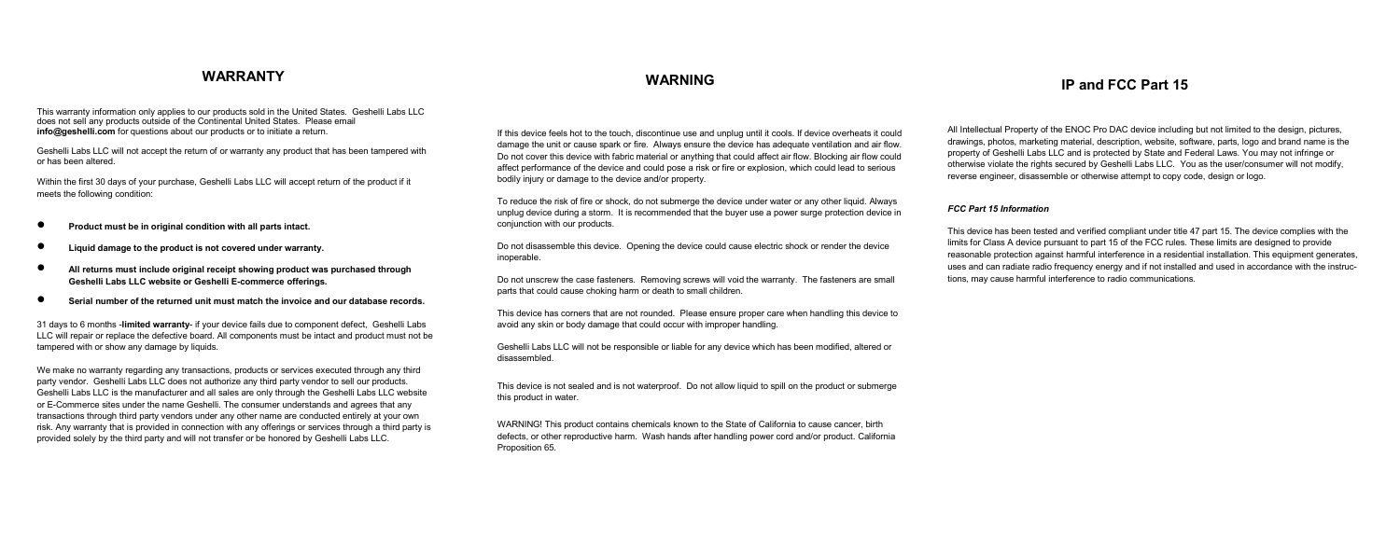This warranty information only applies to our products sold in the United States. Geshelli Labs LLC does not sell any products outside of the Continental United States. Please email **info@geshelli.com** for questions about our products or to initiate a return.

Geshelli Labs LLC will not accept the return of or warranty any product that has been tampered with or has been altered.

Within the first 30 days of your purchase, Geshelli Labs LLC will accept return of the product if it meets the following condition:

- **Product must be in original condition with all parts intact.**
- **Liquid damage to the product is not covered under warranty.**
- **All returns must include original receipt showing product was purchased through Geshelli Labs LLC website or Geshelli E-commerce offerings.**
- **Serial number of the returned unit must match the invoice and our database records.**

31 days to 6 months -**limited warranty**- if your device fails due to component defect, Geshelli Labs LLC will repair or replace the defective board. All components must be intact and product must not be tampered with or show any damage by liquids.

We make no warranty regarding any transactions, products or services executed through any third party vendor. Geshelli Labs LLC does not authorize any third party vendor to sell our products. Geshelli Labs LLC is the manufacturer and all sales are only through the Geshelli Labs LLC website or E-Commerce sites under the name Geshelli. The consumer understands and agrees that any transactions through third party vendors under any other name are conducted entirely at your own risk. Any warranty that is provided in connection with any offerings or services through a third party is provided solely by the third party and will not transfer or be honored by Geshelli Labs LLC.

If this device feels hot to the touch, discontinue use and unplug until it cools. If device overheats it could damage the unit or cause spark or fire. Always ensure the device has adequate ventilation and air flow. Do not cover this device with fabric material or anything that could affect air flow. Blocking air flow could affect performance of the device and could pose a risk or fire or explosion, which could lead to serious bodily injury or damage to the device and/or property.

To reduce the risk of fire or shock, do not submerge the device under water or any other liquid. Always unplug device during a storm. It is recommended that the buyer use a power surge protection device in conjunction with our products.

Do not disassemble this device. Opening the device could cause electric shock or render the device inoperable.

Do not unscrew the case fasteners. Removing screws will void the warranty. The fasteners are small parts that could cause choking harm or death to small children.

This device has corners that are not rounded. Please ensure proper care when handling this device to avoid any skin or body damage that could occur with improper handling.

Geshelli Labs LLC will not be responsible or liable for any device which has been modified, altered or disassembled.

This device is not sealed and is not waterproof. Do not allow liquid to spill on the product or submerge this product in water.

WARNING! This product contains chemicals known to the State of California to cause cancer, birth defects, or other reproductive harm. Wash hands after handling power cord and/or product. California Proposition 65.

## **WARNING IP and FCC Part 15 WARRANTY**

All Intellectual Property of the ENOC Pro DAC device including but not limited to the design, pictures, drawings, photos, marketing material, description, website, software, parts, logo and brand name is the property of Geshelli Labs LLC and is protected by State and Federal Laws. You may not infringe or otherwise violate the rights secured by Geshelli Labs LLC. You as the user/consumer will not modify, reverse engineer, disassemble or otherwise attempt to copy code, design or logo.

## *FCC Part 15 Information*

This device has been tested and verified compliant under title 47 part 15. The device complies with the limits for Class A device pursuant to part 15 of the FCC rules. These limits are designed to provide reasonable protection against harmful interference in a residential installation. This equipment generates, uses and can radiate radio frequency energy and if not installed and used in accordance with the instructions, may cause harmful interference to radio communications.